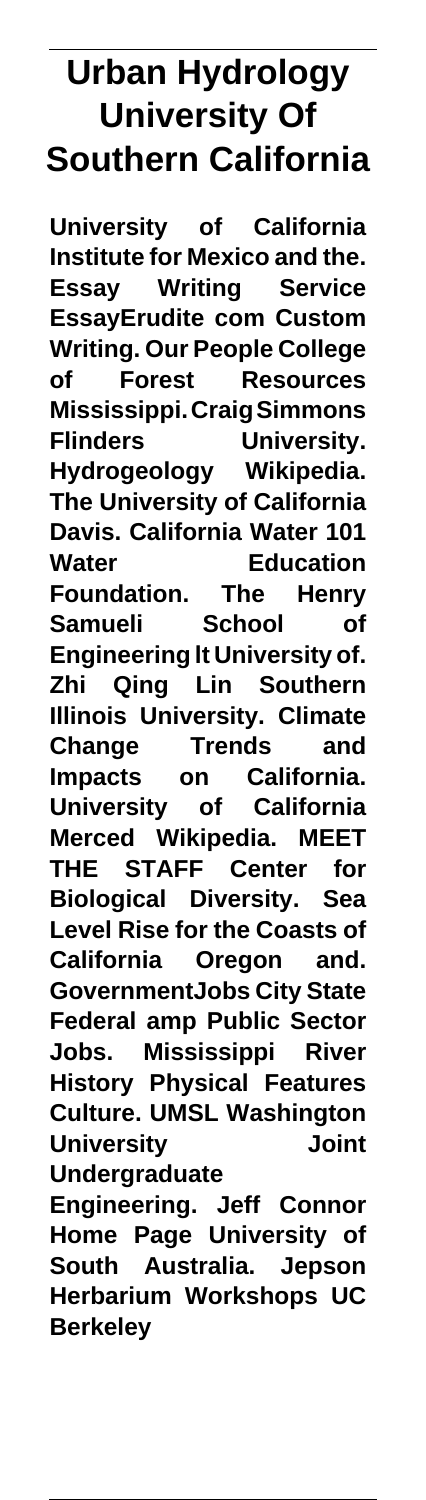# **Urban Hydrology University Of Southern California**

**University of California Institute for Mexico and the. Essay Writing Service EssayErudite com Custom Writing. Our People College of Forest Resources Mississippi. Craig Simmons Flinders University. Hydrogeology Wikipedia. The University of California Davis. California Water 101 Water Education Foundation. The Henry Samueli School of Engineering lt University of. Zhi Qing Lin Southern Illinois University. Climate Change Trends and Impacts on California. University of California Merced Wikipedia. MEET THE STAFF Center for Biological Diversity. Sea Level Rise for the Coasts of California Oregon and. GovernmentJobs City State Federal amp Public Sector Jobs. Mississippi River History Physical Features Culture. UMSL Washington University Joint Undergraduate**

**Engineering. Jeff Connor Home Page University of South Australia. Jepson Herbarium Workshops UC Berkeley**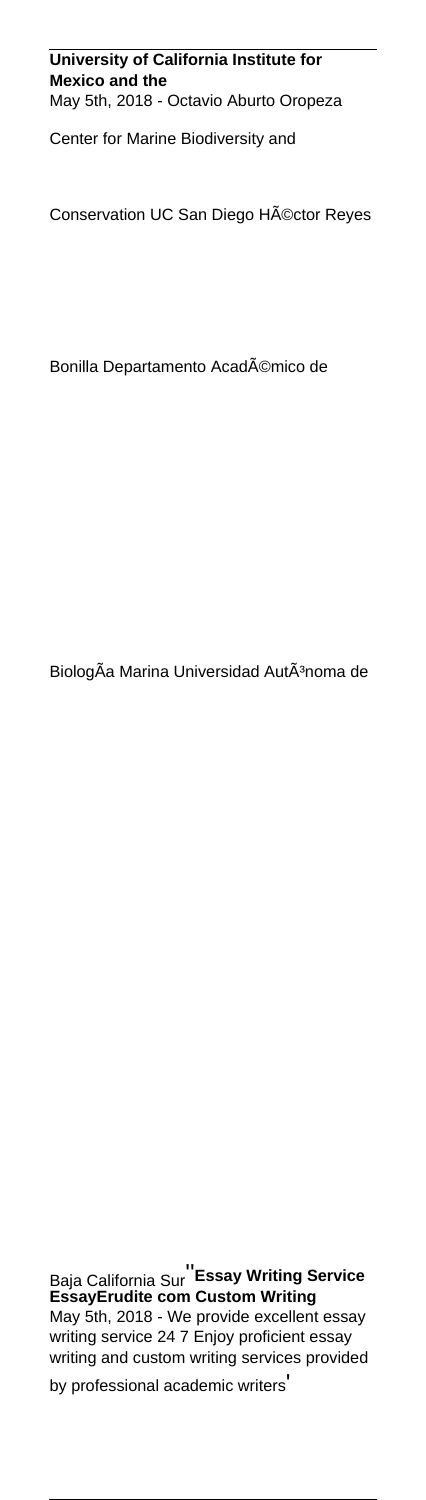#### **University of California Institute for Mexico and the** May 5th, 2018 - Octavio Aburto Oropeza

Center for Marine Biodiversity and

Conservation UC San Diego Héctor Reyes

Bonilla Departamento Académico de

BiologÃa Marina Universidad AutÃ<sup>3</sup>noma de

Baja California Sur''**Essay Writing Service EssayErudite com Custom Writing** May 5th, 2018 - We provide excellent essay writing service 24 7 Enjoy proficient essay writing and custom writing services provided by professional academic writers'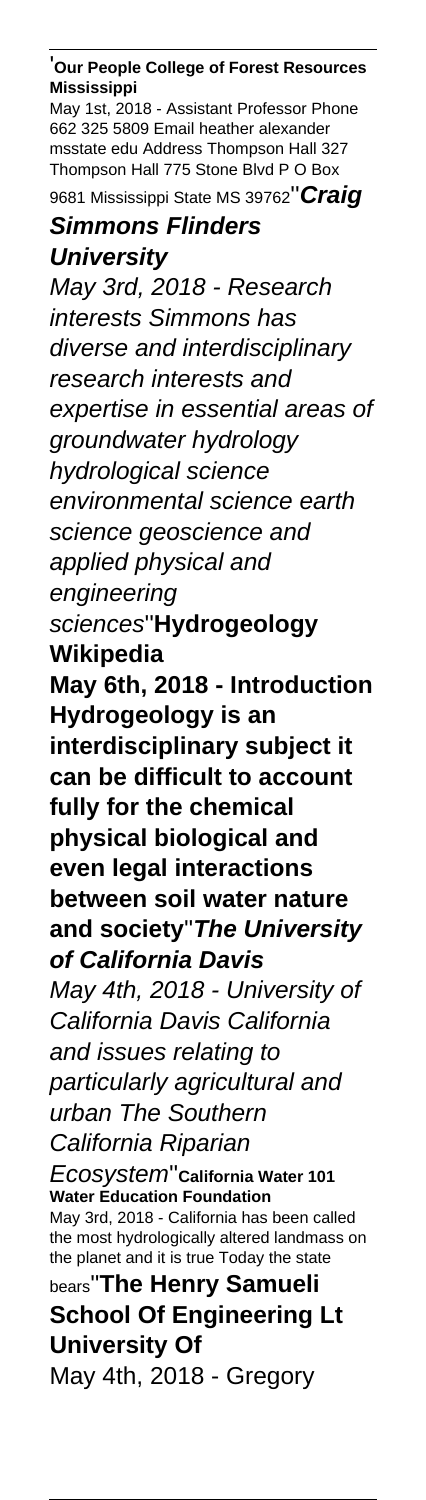'**Our People College of Forest Resources Mississippi**

May 1st, 2018 - Assistant Professor Phone 662 325 5809 Email heather alexander msstate edu Address Thompson Hall 327 Thompson Hall 775 Stone Blvd P O Box 9681 Mississippi State MS 39762''**Craig**

# **Simmons Flinders**

**University**

May 3rd, 2018 - Research interests Simmons has diverse and interdisciplinary research interests and expertise in essential areas of groundwater hydrology hydrological science environmental science earth science geoscience and applied physical and engineering sciences''**Hydrogeology Wikipedia May 6th, 2018 - Introduction Hydrogeology is an interdisciplinary subject it can be difficult to account fully for the chemical physical biological and even legal interactions between soil water nature and society**''**The University of California Davis** May 4th, 2018 - University of California Davis California and issues relating to particularly agricultural and urban The Southern California Riparian Ecosystem''**California Water 101 Water Education Foundation**

May 3rd, 2018 - California has been called the most hydrologically altered landmass on the planet and it is true Today the state bears''**The Henry Samueli**

**School Of Engineering Lt University Of** May 4th, 2018 - Gregory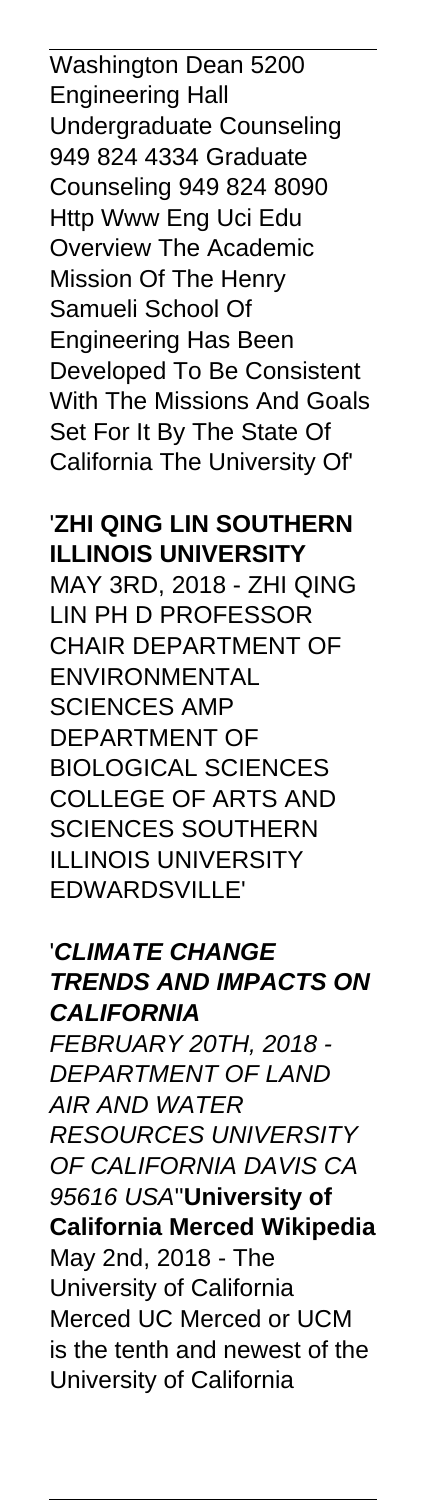Washington Dean 5200 Engineering Hall Undergraduate Counseling 949 824 4334 Graduate Counseling 949 824 8090 Http Www Eng Uci Edu Overview The Academic Mission Of The Henry Samueli School Of Engineering Has Been Developed To Be Consistent With The Missions And Goals Set For It By The State Of California The University Of'

### '**ZHI QING LIN SOUTHERN ILLINOIS UNIVERSITY**

MAY 3RD, 2018 - ZHI QING LIN PH D PROFESSOR CHAIR DEPARTMENT OF ENVIRONMENTAL SCIENCES AMP DEPARTMENT OF BIOLOGICAL SCIENCES COLLEGE OF ARTS AND SCIENCES SOUTHERN ILLINOIS UNIVERSITY EDWARDSVILLE'

### '**CLIMATE CHANGE TRENDS AND IMPACTS ON CALIFORNIA** FEBRUARY 20TH, 2018 - DEPARTMENT OF LAND AIR AND WATER

RESOURCES UNIVERSITY OF CALIFORNIA DAVIS CA 95616 USA''**University of California Merced Wikipedia** May 2nd, 2018 - The University of California Merced UC Merced or UCM is the tenth and newest of the University of California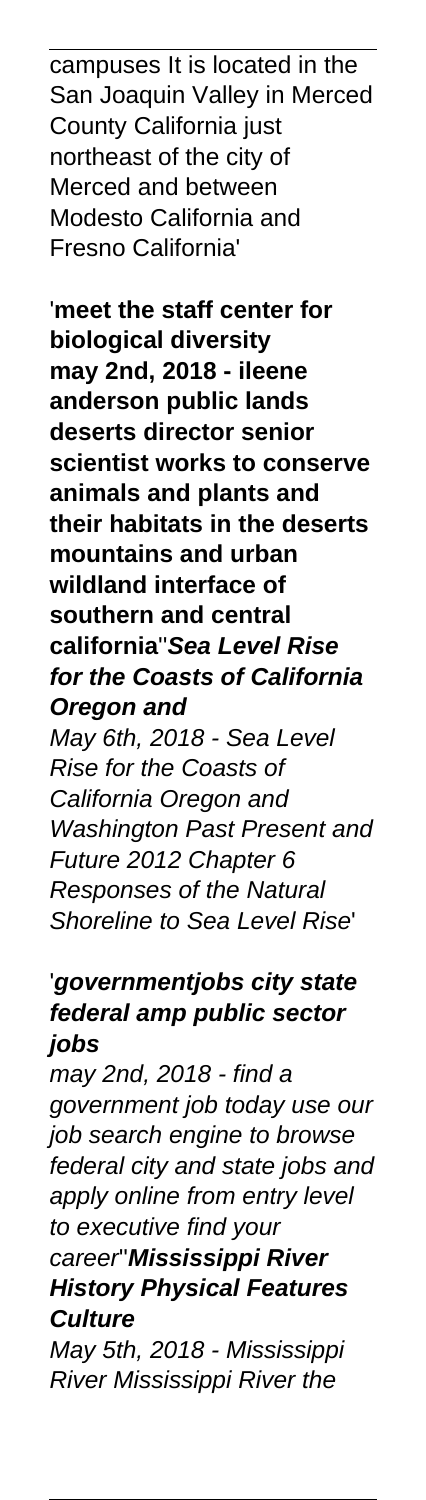campuses It is located in the San Joaquin Valley in Merced County California just northeast of the city of Merced and between Modesto California and Fresno California'

'**meet the staff center for biological diversity may 2nd, 2018 - ileene anderson public lands deserts director senior scientist works to conserve animals and plants and their habitats in the deserts mountains and urban wildland interface of southern and central california**''**Sea Level Rise for the Coasts of California Oregon and** May 6th, 2018 - Sea Level Rise for the Coasts of California Oregon and Washington Past Present and Future 2012 Chapter 6 Responses of the Natural Shoreline to Sea Level Rise'

### '**governmentjobs city state federal amp public sector jobs**

may 2nd, 2018 - find a government job today use our job search engine to browse federal city and state jobs and apply online from entry level to executive find your career''**Mississippi River History Physical Features Culture** May 5th, 2018 - Mississippi

River Mississippi River the